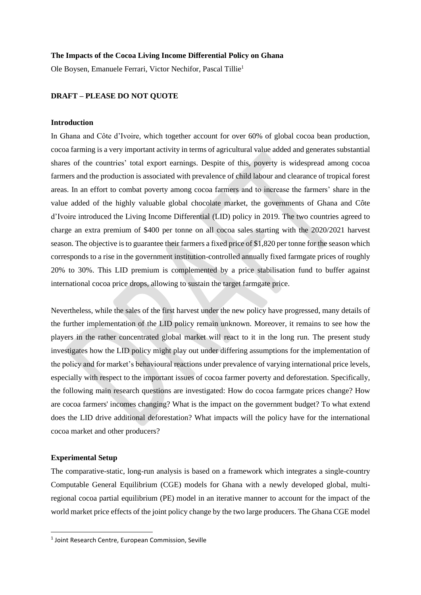#### **The Impacts of the Cocoa Living Income Differential Policy on Ghana**

Ole Boysen, Emanuele Ferrari, Victor Nechifor, Pascal Tillie<sup>1</sup>

# **DRAFT – PLEASE DO NOT QUOTE**

# **Introduction**

In Ghana and Côte d'Ivoire, which together account for over 60% of global cocoa bean production, cocoa farming is a very important activity in terms of agricultural value added and generates substantial shares of the countries' total export earnings. Despite of this, poverty is widespread among cocoa farmers and the production is associated with prevalence of child labour and clearance of tropical forest areas. In an effort to combat poverty among cocoa farmers and to increase the farmers' share in the value added of the highly valuable global chocolate market, the governments of Ghana and Côte d'Ivoire introduced the Living Income Differential (LID) policy in 2019. The two countries agreed to charge an extra premium of \$400 per tonne on all cocoa sales starting with the 2020/2021 harvest season. The objective is to guarantee their farmers a fixed price of \$1,820 per tonne for the season which corresponds to a rise in the government institution-controlled annually fixed farmgate prices of roughly 20% to 30%. This LID premium is complemented by a price stabilisation fund to buffer against international cocoa price drops, allowing to sustain the target farmgate price.

Nevertheless, while the sales of the first harvest under the new policy have progressed, many details of the further implementation of the LID policy remain unknown. Moreover, it remains to see how the players in the rather concentrated global market will react to it in the long run. The present study investigates how the LID policy might play out under differing assumptions for the implementation of the policy and for market's behavioural reactions under prevalence of varying international price levels, especially with respect to the important issues of cocoa farmer poverty and deforestation. Specifically, the following main research questions are investigated: How do cocoa farmgate prices change? How are cocoa farmers' incomes changing? What is the impact on the government budget? To what extend does the LID drive additional deforestation? What impacts will the policy have for the international cocoa market and other producers?

### **Experimental Setup**

The comparative-static, long-run analysis is based on a framework which integrates a single-country Computable General Equilibrium (CGE) models for Ghana with a newly developed global, multiregional cocoa partial equilibrium (PE) model in an iterative manner to account for the impact of the world market price effects of the joint policy change by the two large producers. The Ghana CGE model

<sup>&</sup>lt;sup>1</sup> Joint Research Centre, European Commission, Seville